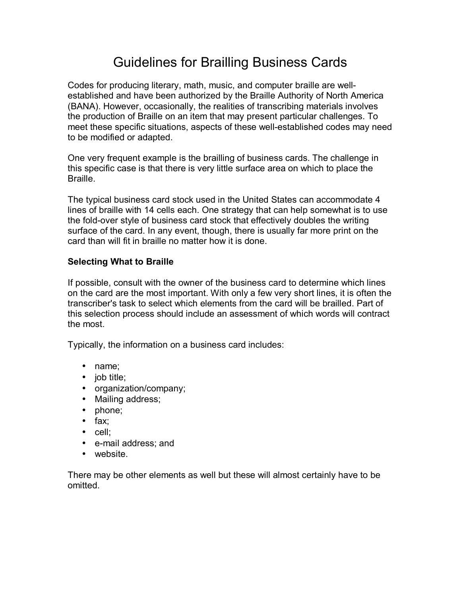# Guidelines for Brailling Business Cards

Codes for producing literary, math, music, and computer braille are wellestablished and have been authorized by the Braille Authority of North America (BANA). However, occasionally, the realities of transcribing materials involves the production of Braille on an item that may present particular challenges. To meet these specific situations, aspects of these well-established codes may need to be modified or adapted.

One very frequent example is the brailling of business cards. The challenge in this specific case is that there is very little surface area on which to place the Braille.

The typical business card stock used in the United States can accommodate 4 lines of braille with 14 cells each. One strategy that can help somewhat is to use the fold-over style of business card stock that effectively doubles the writing surface of the card. In any event, though, there is usually far more print on the card than will fit in braille no matter how it is done.

## **Selecting What to Braille**

If possible, consult with the owner of the business card to determine which lines on the card are the most important. With only a few very short lines, it is often the transcriber's task to select which elements from the card will be brailled. Part of this selection process should include an assessment of which words will contract the most.

Typically, the information on a business card includes:

- name;
- job title;
- organization/company;
- Mailing address;
- phone;
- fax;
- cell;
- e-mail address; and
- website.

There may be other elements as well but these will almost certainly have to be omitted.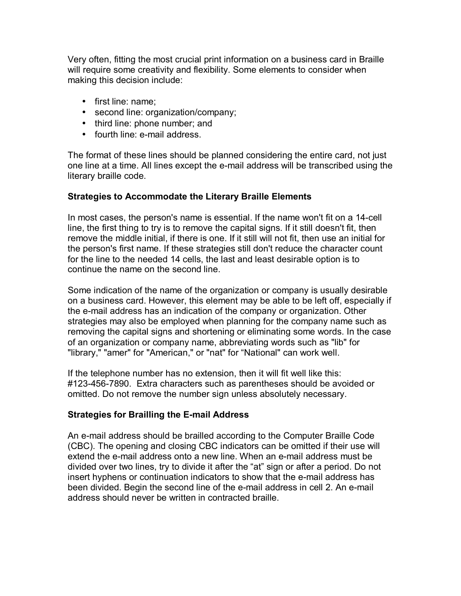Very often, fitting the most crucial print information on a business card in Braille will require some creativity and flexibility. Some elements to consider when making this decision include:

- first line: name;
- second line: organization/company;
- third line: phone number; and
- fourth line: e-mail address.

The format of these lines should be planned considering the entire card, not just one line at a time. All lines except the e-mail address will be transcribed using the literary braille code.

#### **Strategies to Accommodate the Literary Braille Elements**

In most cases, the person's name is essential. If the name won't fit on a 14-cell line, the first thing to try is to remove the capital signs. If it still doesn't fit, then remove the middle initial, if there is one. If it still will not fit, then use an initial for the person's first name. If these strategies still don't reduce the character count for the line to the needed 14 cells, the last and least desirable option is to continue the name on the second line.

Some indication of the name of the organization or company is usually desirable on a business card. However, this element may be able to be left off, especially if the e-mail address has an indication of the company or organization. Other strategies may also be employed when planning for the company name such as removing the capital signs and shortening or eliminating some words. In the case of an organization or company name, abbreviating words such as "lib" for "library," "amer" for "American," or "nat" for "National" can work well.

If the telephone number has no extension, then it will fit well like this: #123-456-7890. Extra characters such as parentheses should be avoided or omitted. Do not remove the number sign unless absolutely necessary.

# **Strategies for Brailling the E-mail Address**

An e-mail address should be brailled according to the Computer Braille Code (CBC). The opening and closing CBC indicators can be omitted if their use will extend the e-mail address onto a new line. When an e-mail address must be divided over two lines, try to divide it after the "at" sign or after a period. Do not insert hyphens or continuation indicators to show that the e-mail address has been divided. Begin the second line of the e-mail address in cell 2. An e-mail address should never be written in contracted braille.